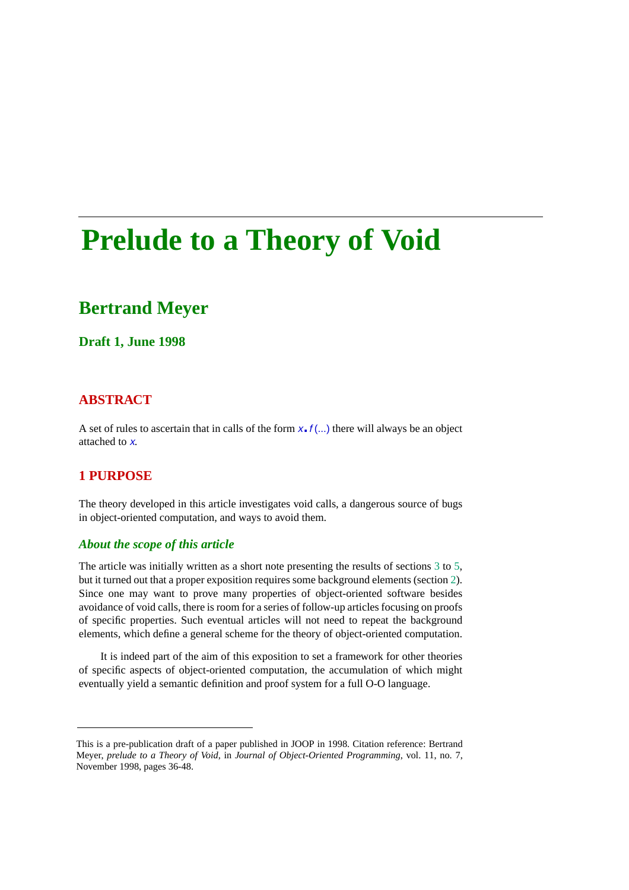# **Prelude to a Theory of Void**

## **Bertrand Meyer**

#### **Draft 1, June 1998**

#### **ABSTRACT**

A set of rules to ascertain that in calls of the form  $x \cdot f$  (...) there will always be an object attached to <sup>x</sup>.

#### **1 PURPOSE**

The theory developed in this article investigates void calls, a dangerous source of bugs in object-oriented computation, and ways to avoid them.

#### *About the scope of this article*

The article was initially written as a short note presenting the results of sections [3](#page-14-0) to [5,](#page-19-0) but it turned out that a proper exposition requires some background elements (section [2](#page-4-0)). Since one may want to prove many properties of object-oriented software besides avoidance of void calls, there is room for a series of follow-up articles focusing on proofs of specific properties. Such eventual articles will not need to repeat the background elements, which define a general scheme for the theory of object-oriented computation.

It is indeed part of the aim of this exposition to set a framework for other theories of specific aspects of object-oriented computation, the accumulation of which might eventually yield a semantic definition and proof system for a full O-O language.

This is a pre-publication draft of a paper published in JOOP in 1998. Citation reference: Bertrand Meyer, *prelude to a Theory of Void*, in *Journal of Object-Oriented Programming*, vol. 11, no. 7, November 1998, pages 36-48.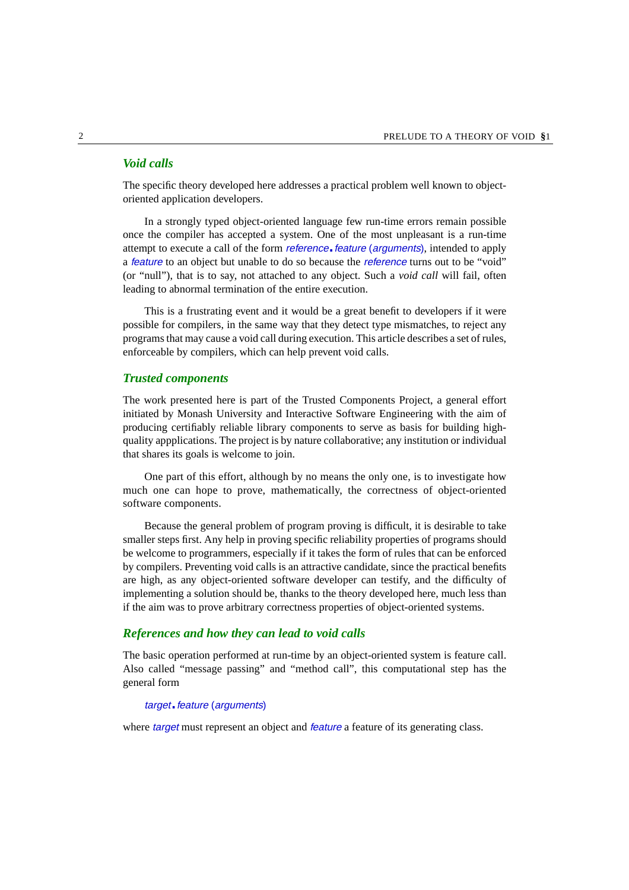#### *Void calls*

The specific theory developed here addresses a practical problem well known to objectoriented application developers.

In a strongly typed object-oriented language few run-time errors remain possible once the compiler has accepted a system. One of the most unpleasant is a run-time attempt to execute a call of the form *reference*. *feature* (*arguments*), intended to apply a feature to an object but unable to do so because the reference turns out to be "void" (or "null"), that is to say, not attached to any object. Such a *void call* will fail, often leading to abnormal termination of the entire execution.

This is a frustrating event and it would be a great benefit to developers if it were possible for compilers, in the same way that they detect type mismatches, to reject any programs that may cause a void call during execution. This article describes a set of rules, enforceable by compilers, which can help prevent void calls.

#### *Trusted components*

The work presented here is part of the Trusted Components Project, a general effort initiated by Monash University and Interactive Software Engineering with the aim of producing certifiably reliable library components to serve as basis for building highquality appplications. The project is by nature collaborative; any institution or individual that shares its goals is welcome to join.

One part of this effort, although by no means the only one, is to investigate how much one can hope to prove, mathematically, the correctness of object-oriented software components.

Because the general problem of program proving is difficult, it is desirable to take smaller steps first. Any help in proving specific reliability properties of programs should be welcome to programmers, especially if it takes the form of rules that can be enforced by compilers. Preventing void calls is an attractive candidate, since the practical benefits are high, as any object-oriented software developer can testify, and the difficulty of implementing a solution should be, thanks to the theory developed here, much less than if the aim was to prove arbitrary correctness properties of object-oriented systems.

#### *References and how they can lead to void calls*

The basic operation performed at run-time by an object-oriented system is feature call. Also called "message passing" and "method call", this computational step has the general form

#### target. feature (arguments)

where *target* must represent an object and *feature* a feature of its generating class.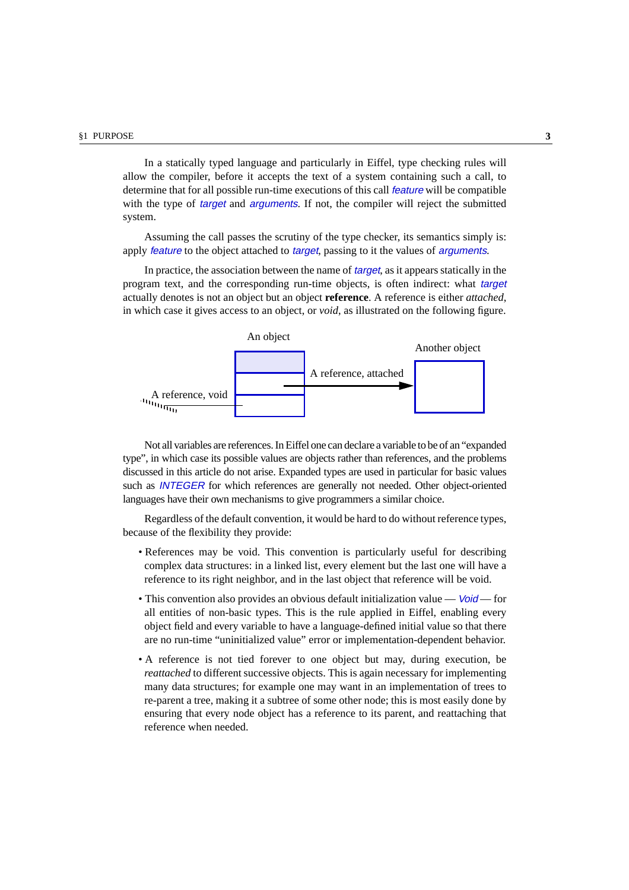In a statically typed language and particularly in Eiffel, type checking rules will allow the compiler, before it accepts the text of a system containing such a call, to determine that for all possible run-time executions of this call feature will be compatible with the type of *target* and *arguments*. If not, the compiler will reject the submitted system.

Assuming the call passes the scrutiny of the type checker, its semantics simply is: apply *feature* to the object attached to *target*, passing to it the values of *arguments*.

In practice, the association between the name of *target*, as it appears statically in the program text, and the corresponding run-time objects, is often indirect: what target actually denotes is not an object but an object **reference**. A reference is either *attached*, in which case it gives access to an object, or *void*, as illustrated on the following figure.



Not all variables are references. In Eiffel one can declare a variable to be of an "expanded type", in which case its possible values are objects rather than references, and the problems discussed in this article do not arise. Expanded types are used in particular for basic values such as INTEGER for which references are generally not needed. Other object-oriented languages have their own mechanisms to give programmers a similar choice.

Regardless of the default convention, it would be hard to do without reference types, because of the flexibility they provide:

- References may be void. This convention is particularly useful for describing complex data structures: in a linked list, every element but the last one will have a reference to its right neighbor, and in the last object that reference will be void.
- This convention also provides an obvious default initialization value  $\delta \dot{\theta}$  for all entities of non-basic types. This is the rule applied in Eiffel, enabling every object field and every variable to have a language-defined initial value so that there are no run-time "uninitialized value" error or implementation-dependent behavior.
- A reference is not tied forever to one object but may, during execution, be *reattached* to different successive objects. This is again necessary for implementing many data structures; for example one may want in an implementation of trees to re-parent a tree, making it a subtree of some other node; this is most easily done by ensuring that every node object has a reference to its parent, and reattaching that reference when needed.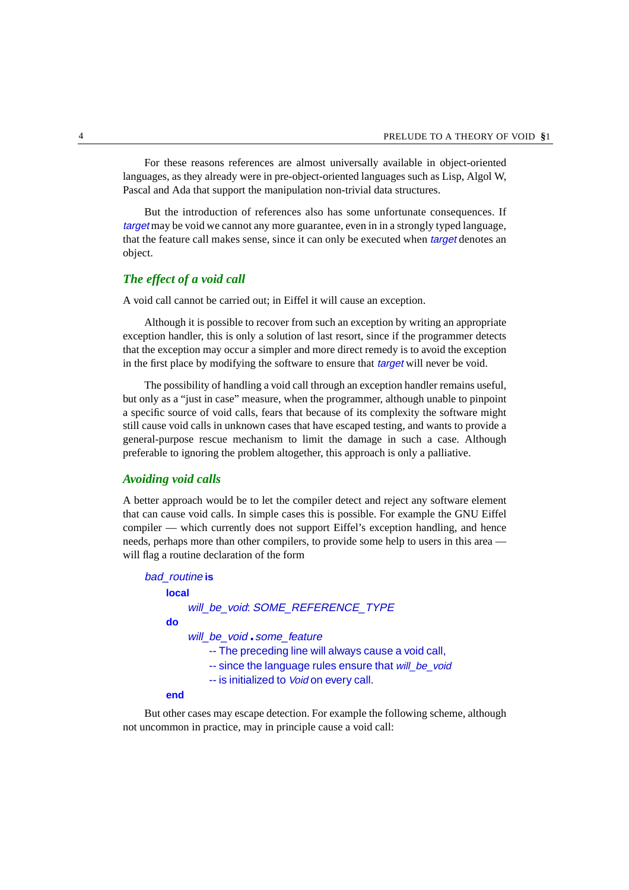For these reasons references are almost universally available in object-oriented languages, as they already were in pre-object-oriented languages such as Lisp, Algol W, Pascal and Ada that support the manipulation non-trivial data structures.

But the introduction of references also has some unfortunate consequences. If target may be void we cannot any more guarantee, even in in a strongly typed language, that the feature call makes sense, since it can only be executed when *target* denotes an object.

#### *The effect of a void call*

A void call cannot be carried out; in Eiffel it will cause an exception.

Although it is possible to recover from such an exception by writing an appropriate exception handler, this is only a solution of last resort, since if the programmer detects that the exception may occur a simpler and more direct remedy is to avoid the exception in the first place by modifying the software to ensure that *target* will never be void.

The possibility of handling a void call through an exception handler remains useful, but only as a "just in case" measure, when the programmer, although unable to pinpoint a specific source of void calls, fears that because of its complexity the software might still cause void calls in unknown cases that have escaped testing, and wants to provide a general-purpose rescue mechanism to limit the damage in such a case. Although preferable to ignoring the problem altogether, this approach is only a palliative.

#### *Avoiding void calls*

A better approach would be to let the compiler detect and reject any software element that can cause void calls. In simple cases this is possible. For example the GNU Eiffel compiler — which currently does not support Eiffel's exception handling, and hence needs, perhaps more than other compilers, to provide some help to users in this area will flag a routine declaration of the form

| bad routine is                                                                                                                                                                        |
|---------------------------------------------------------------------------------------------------------------------------------------------------------------------------------------|
| <b>local</b>                                                                                                                                                                          |
| will_be_void: SOME_REFERENCE_TYPE                                                                                                                                                     |
| do                                                                                                                                                                                    |
| will be void some feature<br>-- The preceding line will always cause a void call,<br>-- since the language rules ensure that will_be_void<br>-- is initialized to Void on every call. |
|                                                                                                                                                                                       |

#### **end**

But other cases may escape detection. For example the following scheme, although not uncommon in practice, may in principle cause a void call: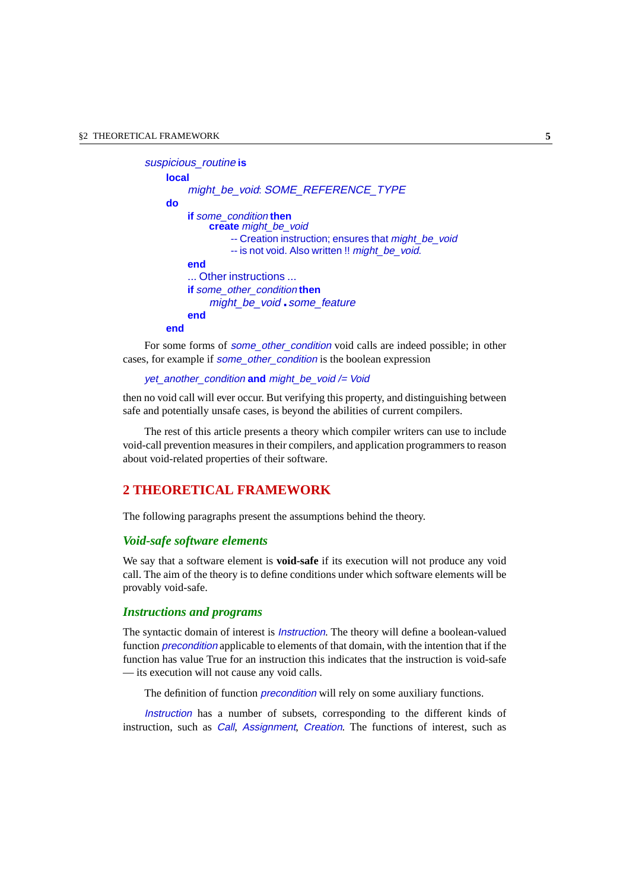```
suspicious_routine is
    local
        might_be_void: SOME_REFERENCE_TYPE
    do
        if some_condition then
             create might_be_void
                 -- Creation instruction; ensures that might_be_void
                 -- is not void. Also written !! might_be_void.
        end
         ... Other instructions ...
        if some_other_condition then
             might be void some feature
        end
    end
```
For some forms of *some* other condition void calls are indeed possible; in other cases, for example if **some\_other\_condition** is the boolean expression

```
yet_another_condition and might_be_void /= Void
```
then no void call will ever occur. But verifying this property, and distinguishing between safe and potentially unsafe cases, is beyond the abilities of current compilers.

The rest of this article presents a theory which compiler writers can use to include void-call prevention measures in their compilers, and application programmers to reason about void-related properties of their software.

#### <span id="page-4-0"></span>**2 THEORETICAL FRAMEWORK**

The following paragraphs present the assumptions behind the theory.

#### *Void-safe software elements*

We say that a software element is **void-safe** if its execution will not produce any void call. The aim of the theory is to define conditions under which software elements will be provably void-safe.

#### *Instructions and programs*

The syntactic domain of interest is *Instruction*. The theory will define a boolean-valued function *precondition* applicable to elements of that domain, with the intention that if the function has value True for an instruction this indicates that the instruction is void-safe — its execution will not cause any void calls.

The definition of function *precondition* will rely on some auxiliary functions.

Instruction has a number of subsets, corresponding to the different kinds of instruction, such as *Call*, *Assignment*, *Creation*. The functions of interest, such as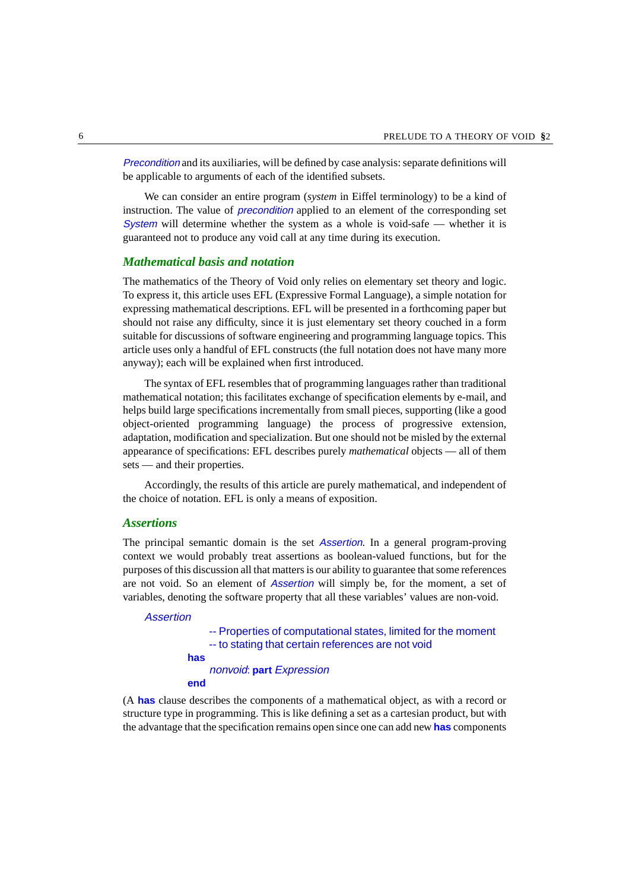Precondition and its auxiliaries, will be defined by case analysis: separate definitions will be applicable to arguments of each of the identified subsets.

We can consider an entire program (*system* in Eiffel terminology) to be a kind of instruction. The value of *precondition* applied to an element of the corresponding set System will determine whether the system as a whole is void-safe  $-$  whether it is guaranteed not to produce any void call at any time during its execution.

#### *Mathematical basis and notation*

The mathematics of the Theory of Void only relies on elementary set theory and logic. To express it, this article uses EFL (Expressive Formal Language), a simple notation for expressing mathematical descriptions. EFL will be presented in a forthcoming paper but should not raise any difficulty, since it is just elementary set theory couched in a form suitable for discussions of software engineering and programming language topics. This article uses only a handful of EFL constructs (the full notation does not have many more anyway); each will be explained when first introduced.

The syntax of EFL resembles that of programming languages rather than traditional mathematical notation; this facilitates exchange of specification elements by e-mail, and helps build large specifications incrementally from small pieces, supporting (like a good object-oriented programming language) the process of progressive extension, adaptation, modification and specialization. But one should not be misled by the external appearance of specifications: EFL describes purely *mathematical* objects — all of them sets — and their properties.

Accordingly, the results of this article are purely mathematical, and independent of the choice of notation. EFL is only a means of exposition.

#### *Assertions*

The principal semantic domain is the set Assertion. In a general program-proving context we would probably treat assertions as boolean-valued functions, but for the purposes of this discussion all that matters is our ability to guarantee that some references are not void. So an element of Assertion will simply be, for the moment, a set of variables, denoting the software property that all these variables' values are non-void.

#### <span id="page-5-0"></span>Assertion

-- Properties of computational states, limited for the moment -- to stating that certain references are not void **has** nonvoid: **part** Expression **end**

(A **has** clause describes the components of a mathematical object, as with a record or structure type in programming. This is like defining a set as a cartesian product, but with the advantage that the specification remains open since one can add new **has** components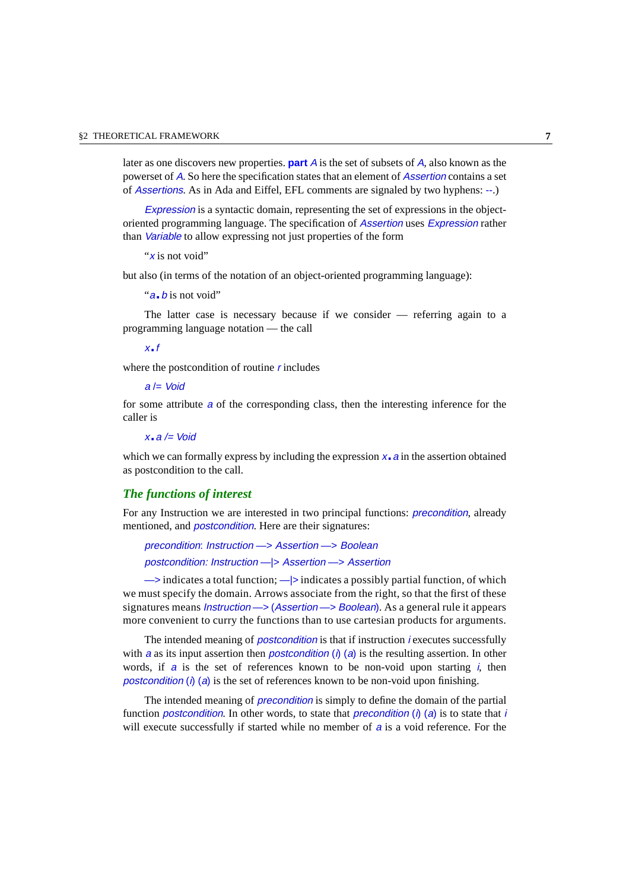later as one discovers new properties. **part** <sup>A</sup> is the set of subsets of <sup>A</sup>, also known as the powerset of <sup>A</sup>. So here the specification states that an element of Assertion contains a set of Assertions. As in Ada and Eiffel, EFL comments are signaled by two hyphens: --.)

Expression is a syntactic domain, representing the set of expressions in the objectoriented programming language. The specification of Assertion uses Expression rather than Variable to allow expressing not just properties of the form

"x is not void"

but also (in terms of the notation of an object-oriented programming language):

```
"a. b is not void"
```
The latter case is necessary because if we consider — referring again to a programming language notation — the call

x.f

where the postcondition of routine  $r$  includes

 $a \equiv$  Void

for some attribute <sup>a</sup> of the corresponding class, then the interesting inference for the caller is

 $x - a \leq$  Void

which we can formally express by including the expression  $x_a$  a in the assertion obtained as postcondition to the call.

#### *The functions of interest*

For any Instruction we are interested in two principal functions: precondition, already mentioned, and *postcondition*. Here are their signatures:

precondition: Instruction —> Assertion —> Boolean postcondition: Instruction —|> Assertion —> Assertion

 $\rightarrow$  indicates a total function;  $\rightarrow$  indicates a possibly partial function, of which we must specify the domain. Arrows associate from the right, so that the first of these signatures means Instruction —> (Assertion —> Boolean). As a general rule it appears more convenient to curry the functions than to use cartesian products for arguments.

The intended meaning of *postcondition* is that if instruction *i* executes successfully with a as its input assertion then *postcondition* (i) (a) is the resulting assertion. In other words, if  $a$  is the set of references known to be non-void upon starting i, then postcondition (i) (a) is the set of references known to be non-void upon finishing.

The intended meaning of precondition is simply to define the domain of the partial function postcondition. In other words, to state that precondition (i) (a) is to state that i will execute successfully if started while no member of a is a void reference. For the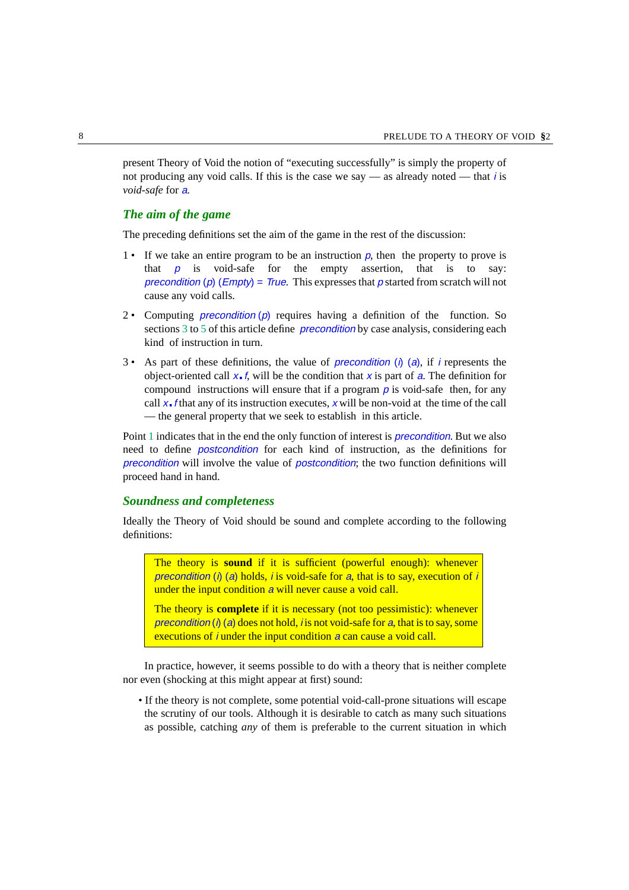present Theory of Void the notion of "executing successfully" is simply the property of not producing any void calls. If this is the case we say — as already noted — that *i* is *void-safe* for <sup>a</sup>.

#### *The aim of the game*

The preceding definitions set the aim of the game in the rest of the discussion:

- <span id="page-7-0"></span>1 • If we take an entire program to be an instruction  $p$ , then the property to prove is that  $p$  is void-safe for the empty assertion, that is to say: precondition (p) (Empty) = True. This expresses that p started from scratch will not cause any void calls.
- 2 Computing *precondition* (p) requires having a definition of the function. So sections [3](#page-14-0) to [5](#page-19-0) of this article define *precondition* by case analysis, considering each kind of instruction in turn.
- 3 As part of these definitions, the value of *precondition* (i) (a), if i represents the object-oriented call  $x \cdot f$ , will be the condition that x is part of a. The definition for compound instructions will ensure that if a program  $\rho$  is void-safe then, for any call  $x$ . *f* that any of its instruction executes, x will be non-void at the time of the call — the general property that we seek to establish in this article.

Point [1](#page-7-0) indicates that in the end the only function of interest is *precondition*. But we also need to define postcondition for each kind of instruction, as the definitions for precondition will involve the value of postcondition; the two function definitions will proceed hand in hand.

#### <span id="page-7-1"></span>*Soundness and completeness*

Ideally the Theory of Void should be sound and complete according to the following definitions:

The theory is **sound** if it is sufficient (powerful enough): whenever precondition (i) (a) holds, i is void-safe for a, that is to say, execution of i under the input condition a will never cause a void call.

The theory is **complete** if it is necessary (not too pessimistic): whenever precondition (i) (a) does not hold, i is not void-safe for a, that is to say, some executions of *i* under the input condition *a* can cause a void call.

In practice, however, it seems possible to do with a theory that is neither complete nor even (shocking at this might appear at first) sound:

• If the theory is not complete, some potential void-call-prone situations will escape the scrutiny of our tools. Although it is desirable to catch as many such situations as possible, catching *any* of them is preferable to the current situation in which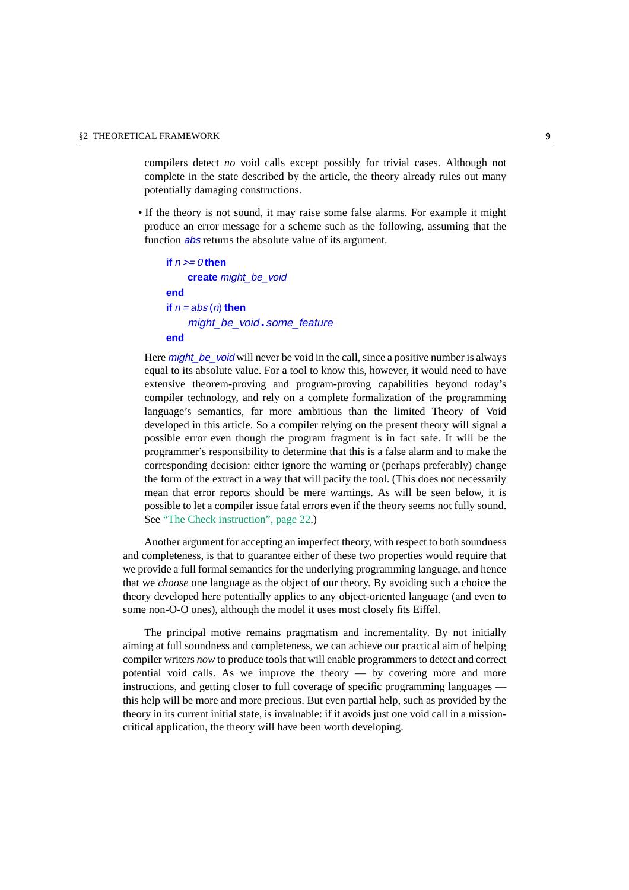compilers detect *no* void calls except possibly for trivial cases. Although not complete in the state described by the article, the theory already rules out many potentially damaging constructions.

• If the theory is not sound, it may raise some false alarms. For example it might produce an error message for a scheme such as the following, assuming that the function *abs* returns the absolute value of its argument.

```
if n \ge 0 then
    create might_be_void
end
if n = abs(n) then
    might_be_void.some_feature
end
```
Here *might* be void will never be void in the call, since a positive number is always equal to its absolute value. For a tool to know this, however, it would need to have extensive theorem-proving and program-proving capabilities beyond today's compiler technology, and rely on a complete formalization of the programming language's semantics, far more ambitious than the limited Theory of Void developed in this article. So a compiler relying on the present theory will signal a possible error even though the program fragment is in fact safe. It will be the programmer's responsibility to determine that this is a false alarm and to make the corresponding decision: either ignore the warning or (perhaps preferably) change the form of the extract in a way that will pacify the tool. (This does not necessarily mean that error reports should be mere warnings. As will be seen below, it is possible to let a compiler issue fatal errors even if the theory seems not fully sound. See ["The Check instruction", page 22.](#page-21-0))

Another argument for accepting an imperfect theory, with respect to both soundness and completeness, is that to guarantee either of these two properties would require that we provide a full formal semantics for the underlying programming language, and hence that we *choose* one language as the object of our theory. By avoiding such a choice the theory developed here potentially applies to any object-oriented language (and even to some non-O-O ones), although the model it uses most closely fits Eiffel.

The principal motive remains pragmatism and incrementality. By not initially aiming at full soundness and completeness, we can achieve our practical aim of helping compiler writers *now* to produce tools that will enable programmers to detect and correct potential void calls. As we improve the theory  $-$  by covering more and more instructions, and getting closer to full coverage of specific programming languages this help will be more and more precious. But even partial help, such as provided by the theory in its current initial state, is invaluable: if it avoids just one void call in a missioncritical application, the theory will have been worth developing.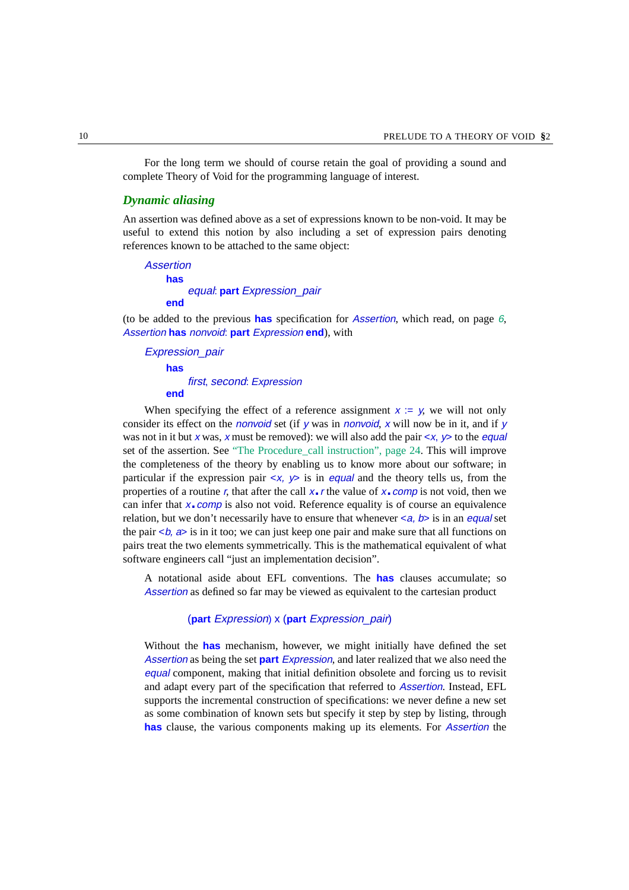For the long term we should of course retain the goal of providing a sound and complete Theory of Void for the programming language of interest.

#### *Dynamic aliasing*

An assertion was defined above as a set of expressions known to be non-void. It may be useful to extend this notion by also including a set of expression pairs denoting references known to be attached to the same object:

```
Assertion
    has
        equal: part Expression_pair
    end
```
(to be added to the previous **has** specification for Assertion, which read, on page [6](#page-5-0), Assertion **has** nonvoid: **part** Expression **end**), with

Expression\_pair **has** first, second: Expression **end**

When specifying the effect of a reference assignment  $x := y$ , we will not only consider its effect on the *nonvoid* set (if y was in *nonvoid*, x will now be in it, and if y was not in it but x was, x must be removed): we will also add the pair  $\langle x, y \rangle$  to the *equal* set of the assertion. See ["The Procedure\\_call instruction", page 24.](#page-23-0) This will improve the completeness of the theory by enabling us to know more about our software; in particular if the expression pair  $\langle x, y \rangle$  is in *equal* and the theory tells us, from the properties of a routine r, that after the call  $x \cdot r$  the value of  $x \cdot comp$  is not void, then we can infer that  $x$ . comp is also not void. Reference equality is of course an equivalence relation, but we don't necessarily have to ensure that whenever  $\langle a, b \rangle$  is in an *equal* set the pair  $\langle \phi, \phi \rangle$  is in it too; we can just keep one pair and make sure that all functions on pairs treat the two elements symmetrically. This is the mathematical equivalent of what software engineers call "just an implementation decision".

A notational aside about EFL conventions. The **has** clauses accumulate; so Assertion as defined so far may be viewed as equivalent to the cartesian product

#### (**part** Expression) x (**part** Expression\_pair)

Without the **has** mechanism, however, we might initially have defined the set Assertion as being the set **part** Expression, and later realized that we also need the equal component, making that initial definition obsolete and forcing us to revisit and adapt every part of the specification that referred to Assertion. Instead, EFL supports the incremental construction of specifications: we never define a new set as some combination of known sets but specify it step by step by listing, through **has** clause, the various components making up its elements. For Assertion the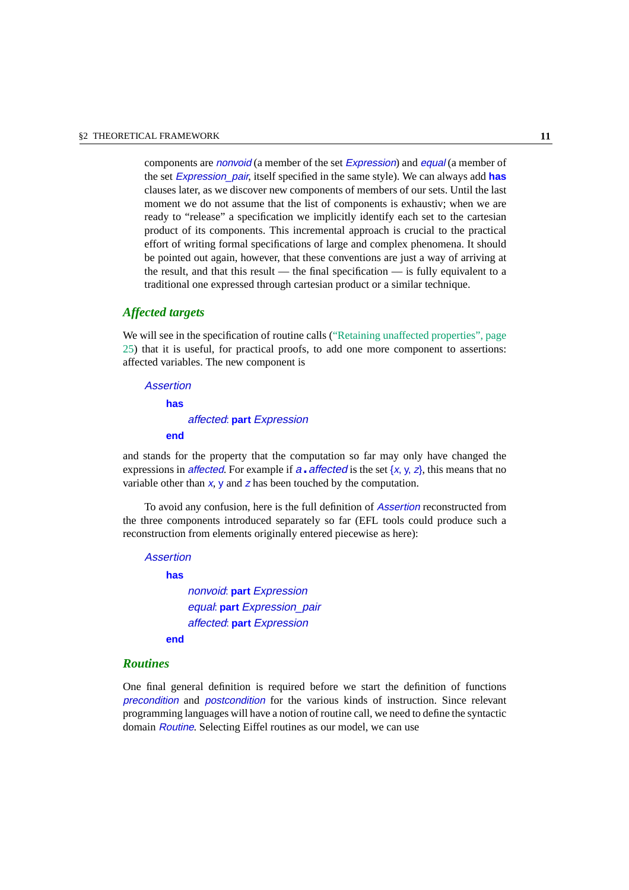components are nonvoid (a member of the set Expression) and equal (a member of the set Expression\_pair, itself specified in the same style). We can always add **has** clauses later, as we discover new components of members of our sets. Until the last moment we do not assume that the list of components is exhaustiv; when we are ready to "release" a specification we implicitly identify each set to the cartesian product of its components. This incremental approach is crucial to the practical effort of writing formal specifications of large and complex phenomena. It should be pointed out again, however, that these conventions are just a way of arriving at the result, and that this result — the final specification — is fully equivalent to a traditional one expressed through cartesian product or a similar technique.

#### *Affected targets*

We will see in the specification of routine calls [\("Retaining unaffected properties", page](#page-24-0) [25](#page-24-0)) that it is useful, for practical proofs, to add one more component to assertions: affected variables. The new component is

Assertion **has** affected: **part** Expression **end**

and stands for the property that the computation so far may only have changed the expressions in *affected*. For example if  $a \cdot \text{affected}$  is the set {x, y, z}, this means that no variable other than  $x$ ,  $y$  and  $z$  has been touched by the computation.

To avoid any confusion, here is the full definition of Assertion reconstructed from the three components introduced separately so far (EFL tools could produce such a reconstruction from elements originally entered piecewise as here):

```
Assertion
```
#### **has**

nonvoid: **part** Expression equal: **part** Expression\_pair affected: **part** Expression

**end**

#### *Routines*

One final general definition is required before we start the definition of functions precondition and postcondition for the various kinds of instruction. Since relevant programming languages will have a notion of routine call, we need to define the syntactic domain Routine. Selecting Eiffel routines as our model, we can use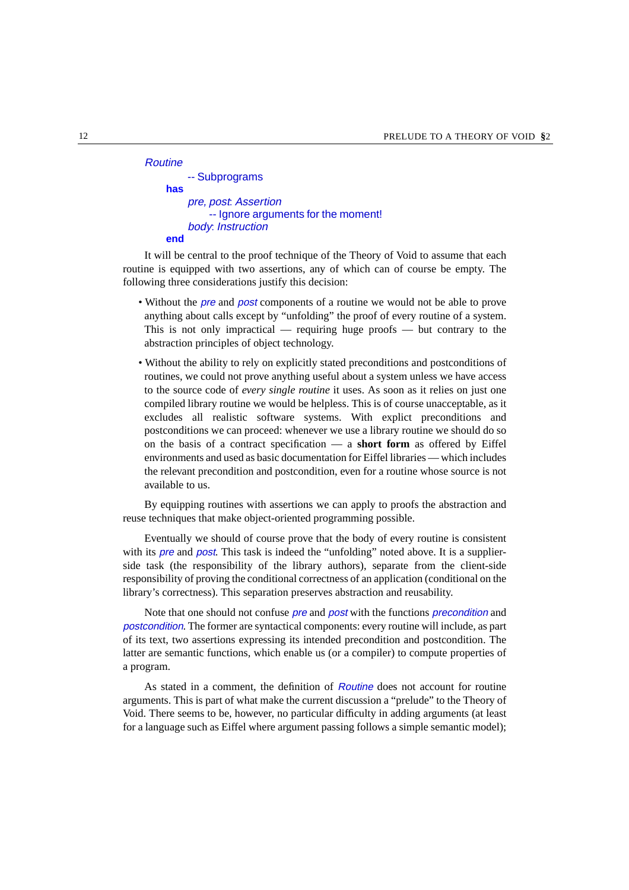| Routine |                                     |
|---------|-------------------------------------|
|         | -- Subprograms                      |
| has     |                                     |
|         | pre, post. Assertion                |
|         | -- Ignore arguments for the moment! |
|         | body: Instruction                   |
| end     |                                     |

It will be central to the proof technique of the Theory of Void to assume that each routine is equipped with two assertions, any of which can of course be empty. The following three considerations justify this decision:

- Without the pre and post components of a routine we would not be able to prove anything about calls except by "unfolding" the proof of every routine of a system. This is not only impractical — requiring huge proofs — but contrary to the abstraction principles of object technology.
- Without the ability to rely on explicitly stated preconditions and postconditions of routines, we could not prove anything useful about a system unless we have access to the source code of *every single routine* it uses. As soon as it relies on just one compiled library routine we would be helpless. This is of course unacceptable, as it excludes all realistic software systems. With explict preconditions and postconditions we can proceed: whenever we use a library routine we should do so on the basis of a contract specification — a **short form** as offered by Eiffel environments and used as basic documentation for Eiffel libraries — which includes the relevant precondition and postcondition, even for a routine whose source is not available to us.

By equipping routines with assertions we can apply to proofs the abstraction and reuse techniques that make object-oriented programming possible.

Eventually we should of course prove that the body of every routine is consistent with its *pre* and *post*. This task is indeed the "unfolding" noted above. It is a supplierside task (the responsibility of the library authors), separate from the client-side responsibility of proving the conditional correctness of an application (conditional on the library's correctness). This separation preserves abstraction and reusability.

Note that one should not confuse *pre* and *post* with the functions *precondition* and postcondition. The former are syntactical components: every routine will include, as part of its text, two assertions expressing its intended precondition and postcondition. The latter are semantic functions, which enable us (or a compiler) to compute properties of a program.

As stated in a comment, the definition of Routine does not account for routine arguments. This is part of what make the current discussion a "prelude" to the Theory of Void. There seems to be, however, no particular difficulty in adding arguments (at least for a language such as Eiffel where argument passing follows a simple semantic model);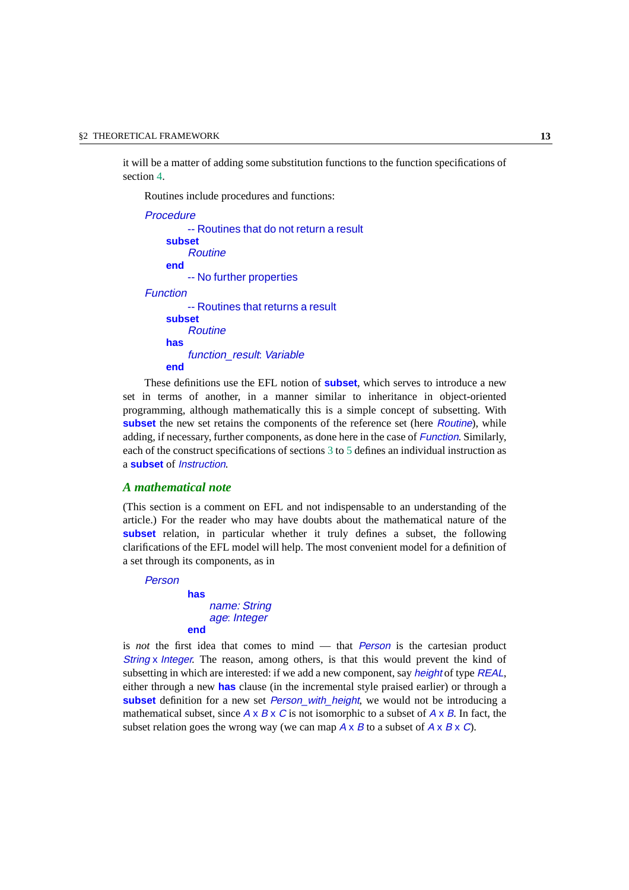it will be a matter of adding some substitution functions to the function specifications of section [4.](#page-17-0)

Routines include procedures and functions:

```
Procedure
         -- Routines that do not return a result
    subset
         Routine
    end
         -- No further properties
Function
         -- Routines that returns a result
    subset
         Routine
    has
         function_result: Variable
    end
```
These definitions use the EFL notion of **subset**, which serves to introduce a new set in terms of another, in a manner similar to inheritance in object-oriented programming, although mathematically this is a simple concept of subsetting. With **subset** the new set retains the components of the reference set (here *Routine*), while adding, if necessary, further components, as done here in the case of Function. Similarly, each of the construct specifications of sections [3](#page-14-0) to [5](#page-19-0) defines an individual instruction as a **subset** of Instruction.

#### *A mathematical note*

(This section is a comment on EFL and not indispensable to an understanding of the article.) For the reader who may have doubts about the mathematical nature of the **subset** relation, in particular whether it truly defines a subset, the following clarifications of the EFL model will help. The most convenient model for a definition of a set through its components, as in

Person

```
has
    name: String
    age: Integer
end
```
is *not* the first idea that comes to mind — that *Person* is the cartesian product String x Integer. The reason, among others, is that this would prevent the kind of subsetting in which are interested: if we add a new component, say *height* of type *REAL*, either through a new **has** clause (in the incremental style praised earlier) or through a **subset** definition for a new set *Person* with height, we would not be introducing a mathematical subset, since  $A \times B \times C$  is not isomorphic to a subset of  $A \times B$ . In fact, the subset relation goes the wrong way (we can map  $A \times B$  to a subset of  $A \times B \times C$ ).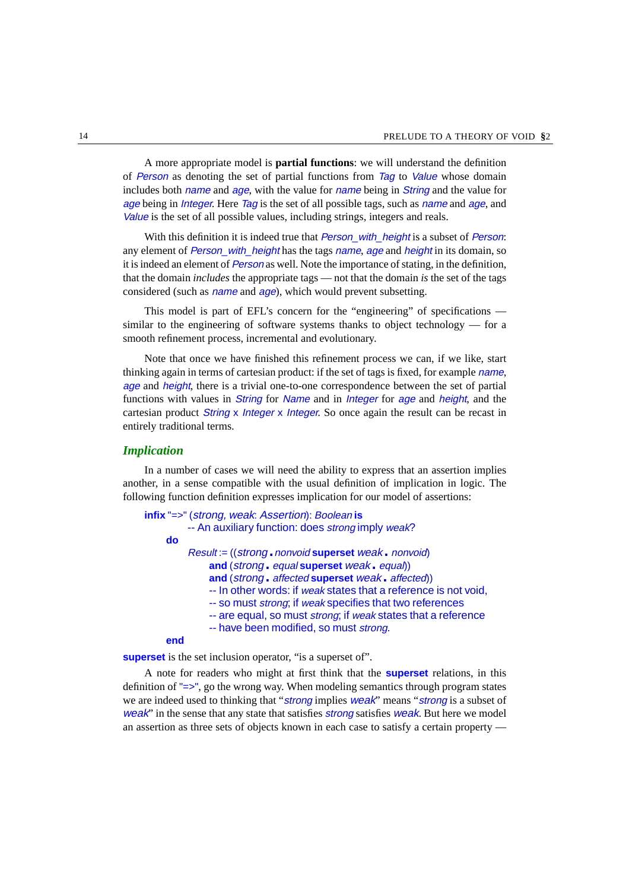A more appropriate model is **partial functions**: we will understand the definition of Person as denoting the set of partial functions from Tag to Value whose domain includes both *name* and *age*, with the value for *name* being in *String* and the value for age being in *Integer*. Here Tag is the set of all possible tags, such as *name* and *age*, and Value is the set of all possible values, including strings, integers and reals.

With this definition it is indeed true that *Person* with height is a subset of *Person*: any element of Person, with height has the tags name, age and height in its domain, so it is indeed an element of Person as well. Note the importance of stating, in the definition, that the domain *includes* the appropriate tags — not that the domain *is* the set of the tags considered (such as *name* and *age*), which would prevent subsetting.

This model is part of EFL's concern for the "engineering" of specifications similar to the engineering of software systems thanks to object technology  $-$  for a smooth refinement process, incremental and evolutionary.

Note that once we have finished this refinement process we can, if we like, start thinking again in terms of cartesian product: if the set of tags is fixed, for example name, age and height, there is a trivial one-to-one correspondence between the set of partial functions with values in *String* for *Name* and in *Integer* for *age* and *height*, and the cartesian product String x Integer x Integer. So once again the result can be recast in entirely traditional terms.

#### <span id="page-13-0"></span>*Implication*

In a number of cases we will need the ability to express that an assertion implies another, in a sense compatible with the usual definition of implication in logic. The following function definition expresses implication for our model of assertions:

```
infix "=>" (strong, weak: Assertion): Boolean is
         -- An auxiliary function: does strong imply weak?
    do
         Result := ((strong.nonvoid superset weak. nonvoid)
              and (strong. equal superset weak. equal))
              and (strong. affected superset weak. affected))
              -- In other words: if weak states that a reference is not void.
              -- so must strong; if weak specifies that two references
              -- are equal, so must strong; if weak states that a reference
              -- have been modified, so must strong.
    end
```
**superset** is the set inclusion operator, "is a superset of".

A note for readers who might at first think that the **superset** relations, in this definition of "=>", go the wrong way. When modeling semantics through program states we are indeed used to thinking that "strong implies weak" means "strong is a subset of weak" in the sense that any state that satisfies *strong* satisfies *weak*. But here we model an assertion as three sets of objects known in each case to satisfy a certain property —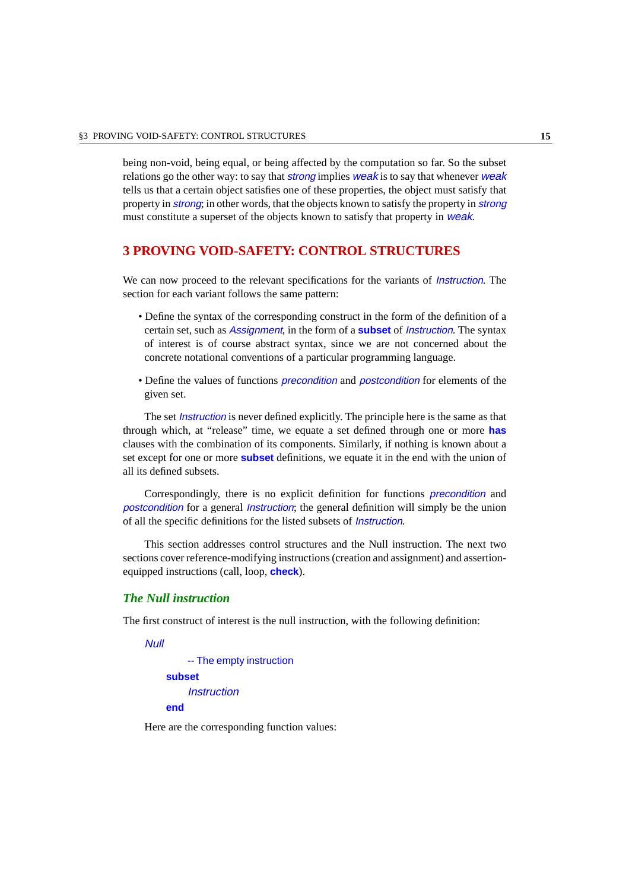being non-void, being equal, or being affected by the computation so far. So the subset relations go the other way: to say that *strong* implies *weak* is to say that whenever *weak* tells us that a certain object satisfies one of these properties, the object must satisfy that property in strong; in other words, that the objects known to satisfy the property in strong must constitute a superset of the objects known to satisfy that property in *weak*.

### <span id="page-14-0"></span>**3 PROVING VOID-SAFETY: CONTROL STRUCTURES**

We can now proceed to the relevant specifications for the variants of *Instruction*. The section for each variant follows the same pattern:

- Define the syntax of the corresponding construct in the form of the definition of a certain set, such as Assignment, in the form of a **subset** of Instruction. The syntax of interest is of course abstract syntax, since we are not concerned about the concrete notational conventions of a particular programming language.
- Define the values of functions *precondition* and *postcondition* for elements of the given set.

The set *Instruction* is never defined explicitly. The principle here is the same as that through which, at "release" time, we equate a set defined through one or more **has** clauses with the combination of its components. Similarly, if nothing is known about a set except for one or more **subset** definitions, we equate it in the end with the union of all its defined subsets.

Correspondingly, there is no explicit definition for functions precondition and postcondition for a general Instruction; the general definition will simply be the union of all the specific definitions for the listed subsets of Instruction.

This section addresses control structures and the Null instruction. The next two sections cover reference-modifying instructions (creation and assignment) and assertionequipped instructions (call, loop, **check**).

#### *The Null instruction*

The first construct of interest is the null instruction, with the following definition:

Null

-- The empty instruction **subset Instruction end**

Here are the corresponding function values: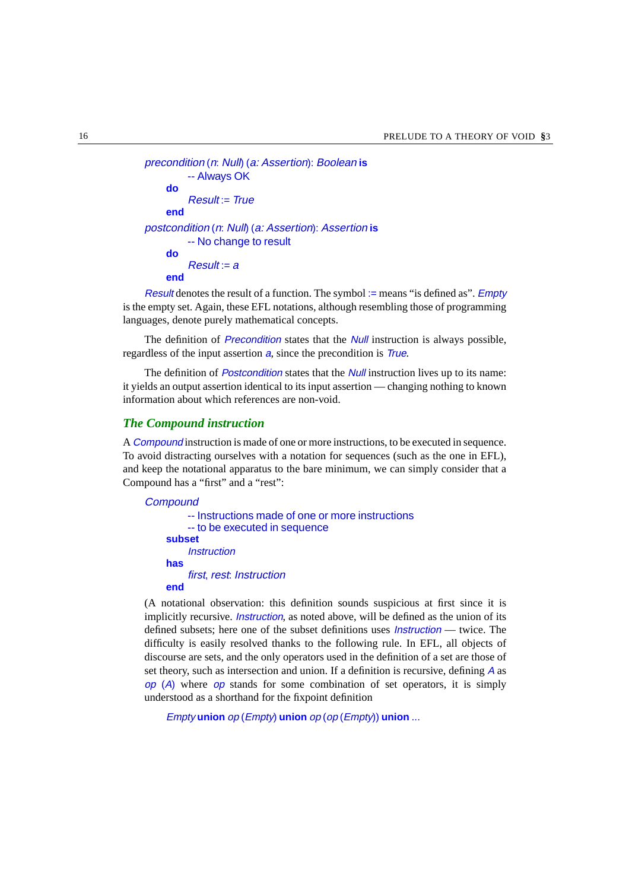```
precondition (n: Null) (a: Assertion): Boolean is
         -- Always OK
    do
         Result = Trueend
postcondition (n: Null) (a: Assertion): Assertion is
         -- No change to result
    do
         Result = Aend
```
Result denotes the result of a function. The symbol := means "is defined as". *Empty* is the empty set. Again, these EFL notations, although resembling those of programming languages, denote purely mathematical concepts.

The definition of *Precondition* states that the *Null* instruction is always possible, regardless of the input assertion a, since the precondition is *True*.

The definition of *Postcondition* states that the *Null* instruction lives up to its name: it yields an output assertion identical to its input assertion — changing nothing to known information about which references are non-void.

#### *The Compound instruction*

A Compound instruction is made of one or more instructions, to be executed in sequence. To avoid distracting ourselves with a notation for sequences (such as the one in EFL), and keep the notational apparatus to the bare minimum, we can simply consider that a Compound has a "first" and a "rest":

```
Compound
         -- Instructions made of one or more instructions
         -- to be executed in sequence
    subset
         Instruction
    has
         first, rest: Instruction
    end
```
(A notational observation: this definition sounds suspicious at first since it is implicitly recursive. *Instruction*, as noted above, will be defined as the union of its defined subsets; here one of the subset definitions uses *Instruction* — twice. The difficulty is easily resolved thanks to the following rule. In EFL, all objects of discourse are sets, and the only operators used in the definition of a set are those of set theory, such as intersection and union. If a definition is recursive, defining <sup>A</sup> as  $op(A)$  where  $op$  stands for some combination of set operators, it is simply understood as a shorthand for the fixpoint definition

Empty **union** op (Empty) **union** op (op (Empty)) **union** ...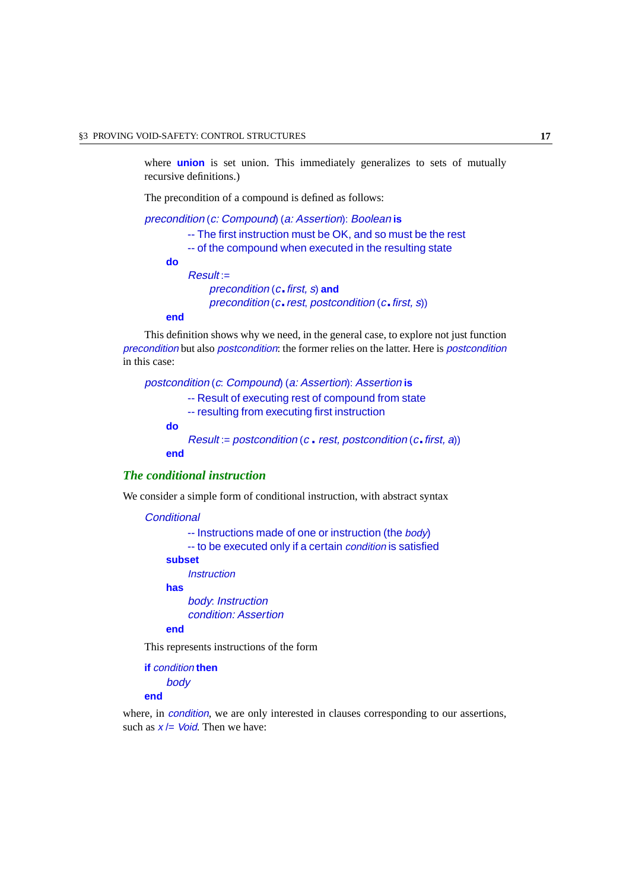where **union** is set union. This immediately generalizes to sets of mutually recursive definitions.)

The precondition of a compound is defined as follows:

```
precondition (c: Compound) (a: Assertion): Boolean is
         -- The first instruction must be OK, and so must be the rest
         -- of the compound when executed in the resulting state
    do
         Result =precondition (c.first, s) and
             precondition (c.rest, postcondition (c.first, s))
```
#### **end**

This definition shows why we need, in the general case, to explore not just function precondition but also postcondition: the former relies on the latter. Here is postcondition in this case:

postcondition (c: Compound) (a: Assertion): Assertion **is** -- Result of executing rest of compound from state -- resulting from executing first instruction **do**  $Result := postcondition (c \cdot rest, postcondition (c \cdot first, a))$ **end**

#### *The conditional instruction*

We consider a simple form of conditional instruction, with abstract syntax

**Conditional** 

-- Instructions made of one or instruction (the body)

-- to be executed only if a certain condition is satisfied

#### **subset**

**Instruction** 

**has**

body: Instruction condition: Assertion

**end**

This represents instructions of the form

**if** condition **then** body **end**

where, in *condition*, we are only interested in clauses corresponding to our assertions, such as  $x =$  Void. Then we have: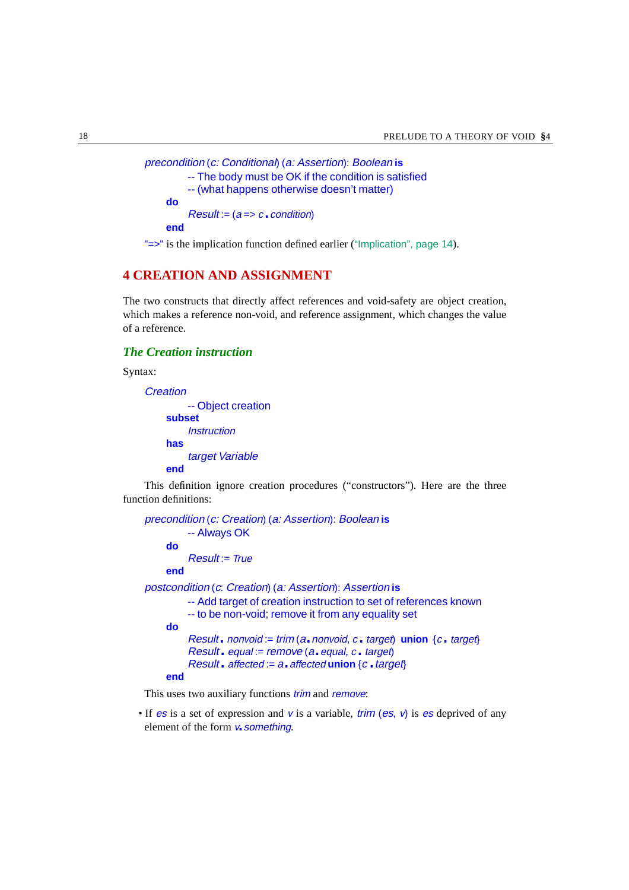```
precondition (c: Conditional) (a: Assertion): Boolean is
         -- The body must be OK if the condition is satisfied
         -- (what happens otherwise doesn't matter)
    do
         Result := (a == c \cdot condition)end
```
"=>" is the implication function defined earlier (["Implication", page 14](#page-13-0)).

### <span id="page-17-0"></span>**4 CREATION AND ASSIGNMENT**

The two constructs that directly affect references and void-safety are object creation, which makes a reference non-void, and reference assignment, which changes the value of a reference.

#### *The Creation instruction*

Syntax:

```
Creation
```
-- Object creation **subset Instruction has** target Variable

**end**

This definition ignore creation procedures ("constructors"). Here are the three function definitions:

```
precondition (c: Creation) (a: Assertion): Boolean is
         -- Always OK
    do
         Result = Trueend
postcondition (c: Creation) (a: Assertion): Assertion is
         -- Add target of creation instruction to set of references known
         -- to be non-void; remove it from any equality set
    do
         Result. nonvoid := trim (a. nonvoid, c. target) union \{c \cdot \text{target}\}\Result. equal := remove(a.equal, c. target)Result. affected := a. affected union {c.} target}end
```
This uses two auxiliary functions *trim* and *remove*:

• If es is a set of expression and v is a variable, trim (es,  $\nu$ ) is es deprived of any element of the form  $v$  something.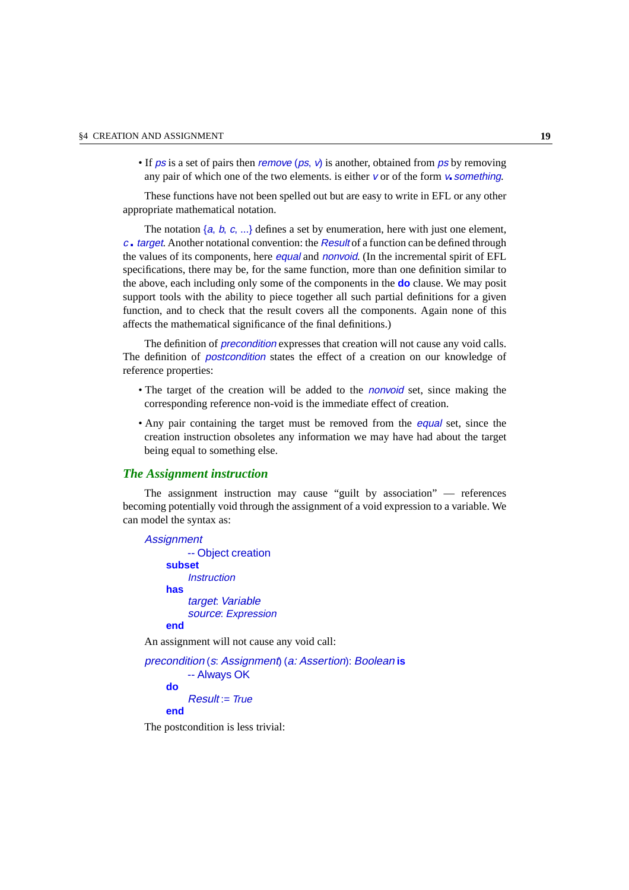• If ps is a set of pairs then *remove* (ps,  $\nu$ ) is another, obtained from ps by removing any pair of which one of the two elements. is either  $\nu$  or of the form  $\nu$  something.

These functions have not been spelled out but are easy to write in EFL or any other appropriate mathematical notation.

The notation  $\{a, b, c, \ldots\}$  defines a set by enumeration, here with just one element,  $c_$ **target.** Another notational convention: the Result of a function can be defined through the values of its components, here *equal* and *nonvoid*. (In the incremental spirit of EFL specifications, there may be, for the same function, more than one definition similar to the above, each including only some of the components in the **do** clause. We may posit support tools with the ability to piece together all such partial definitions for a given function, and to check that the result covers all the components. Again none of this affects the mathematical significance of the final definitions.)

The definition of *precondition* expresses that creation will not cause any void calls. The definition of postcondition states the effect of a creation on our knowledge of reference properties:

- The target of the creation will be added to the *nonvoid* set, since making the corresponding reference non-void is the immediate effect of creation.
- Any pair containing the target must be removed from the *equal* set, since the creation instruction obsoletes any information we may have had about the target being equal to something else.

#### *The Assignment instruction*

The assignment instruction may cause "guilt by association" — references becoming potentially void through the assignment of a void expression to a variable. We can model the syntax as:

```
Assignment
         -- Object creation
    subset
         Instruction
    has
         target: Variable
         source: Expression
    end
An assignment will not cause any void call:
precondition (s: Assignment) (a: Assertion): Boolean is
         -- Always OK
```
**do**

```
Result = True
```

```
end
```
The postcondition is less trivial: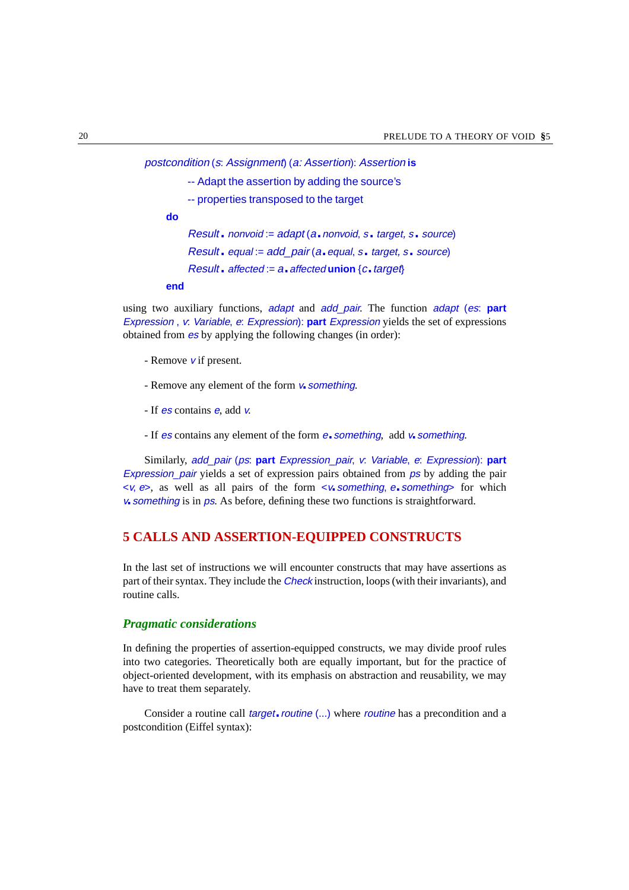postcondition (s: Assignment) (a: Assertion): Assertion **is**

- -- Adapt the assertion by adding the source's
- -- properties transposed to the target

**do**

 $Result. nonvoid := adapt (a. nonvoid, s. target, s. source)$ Result. equal := add\_pair (a.equal, <sup>s</sup>.target, <sup>s</sup>. source)  $Result.$  affected :=  $a.$  affected union  ${c.}$  target $\}$ 

#### **end**

using two auxiliary functions, adapt and add\_pair. The function adapt (es: **part** Expression , <sup>v</sup>: Variable, <sup>e</sup>: Expression): **part** Expression yields the set of expressions obtained from es by applying the following changes (in order):

- Remove  $\boldsymbol{v}$  if present.
- Remove any element of the form  $v_{\bullet}$  something.
- If es contains <sup>e</sup>, add <sup>v</sup>.
- If es contains any element of the form e. something, add v. something.

Similarly, add\_pair (ps: **part** Expression\_pair, <sup>v</sup>: Variable, <sup>e</sup>: Expression): **part** Expression pair yields a set of expression pairs obtained from ps by adding the pair  $\langle v, \mathbf{e} \rangle$ , as well as all pairs of the form  $\langle v, \mathbf{z} \rangle$  something, e. something for which <sup>v</sup>.something is in ps. As before, defining these two functions is straightforward.

#### <span id="page-19-0"></span>**5 CALLS AND ASSERTION-EQUIPPED CONSTRUCTS**

In the last set of instructions we will encounter constructs that may have assertions as part of their syntax. They include the Check instruction, loops (with their invariants), and routine calls.

#### *Pragmatic considerations*

In defining the properties of assertion-equipped constructs, we may divide proof rules into two categories. Theoretically both are equally important, but for the practice of object-oriented development, with its emphasis on abstraction and reusability, we may have to treat them separately.

Consider a routine call *target.routine*  $(...)$  where *routine* has a precondition and a postcondition (Eiffel syntax):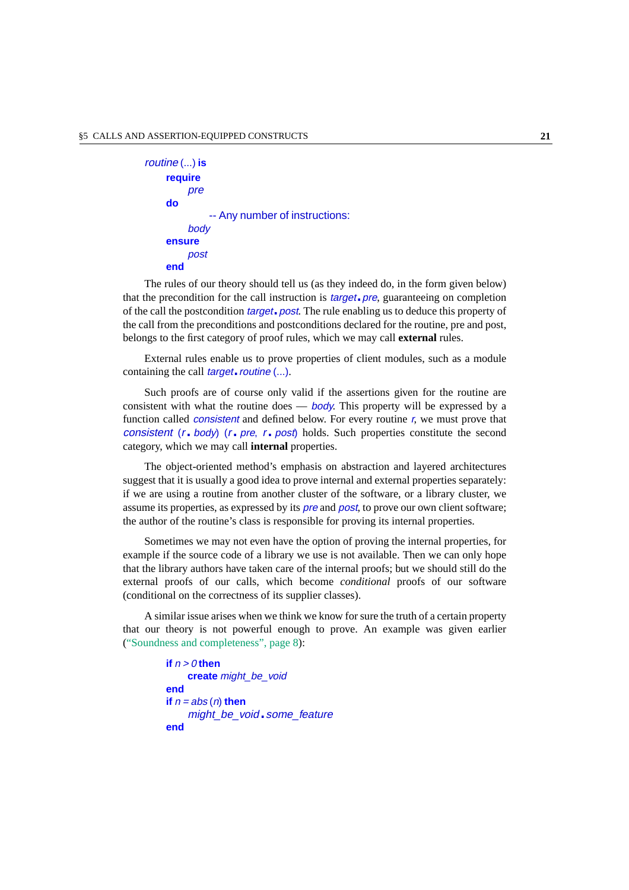```
routine (...) is
    require
         pre
    do
              -- Any number of instructions:
         body
    ensure
         post
    end
```
The rules of our theory should tell us (as they indeed do, in the form given below) that the precondition for the call instruction is *target*. pre, guaranteeing on completion of the call the postcondition *target*. post. The rule enabling us to deduce this property of the call from the preconditions and postconditions declared for the routine, pre and post, belongs to the first category of proof rules, which we may call **external** rules.

External rules enable us to prove properties of client modules, such as a module containing the call *target. routine* (...).

Such proofs are of course only valid if the assertions given for the routine are consistent with what the routine does — *body*. This property will be expressed by a function called *consistent* and defined below. For every routine r, we must prove that consistent  $(r - body)$   $(r - pre, r - post)$  holds. Such properties constitute the second category, which we may call **internal** properties.

The object-oriented method's emphasis on abstraction and layered architectures suggest that it is usually a good idea to prove internal and external properties separately: if we are using a routine from another cluster of the software, or a library cluster, we assume its properties, as expressed by its pre and post, to prove our own client software; the author of the routine's class is responsible for proving its internal properties.

Sometimes we may not even have the option of proving the internal properties, for example if the source code of a library we use is not available. Then we can only hope that the library authors have taken care of the internal proofs; but we should still do the external proofs of our calls, which become *conditional* proofs of our software (conditional on the correctness of its supplier classes).

A similar issue arises when we think we know for sure the truth of a certain property that our theory is not powerful enough to prove. An example was given earlier (["Soundness and completeness", page 8](#page-7-1)):

```
if n > 0 then
    create might be void
end
if n = abs(n) then
    might_be_void.some_feature
end
```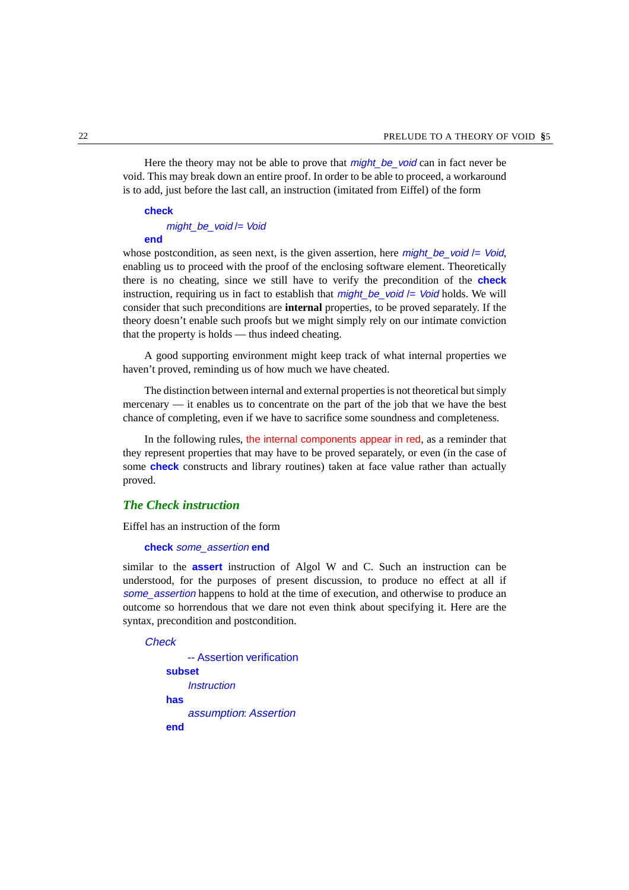Here the theory may not be able to prove that *might* be void can in fact never be void. This may break down an entire proof. In order to be able to proceed, a workaround is to add, just before the last call, an instruction (imitated from Eiffel) of the form

#### **check**

#### might be void /= Void

#### **end**

whose postcondition, as seen next, is the given assertion, here *might* be void  $/=$  Void, enabling us to proceed with the proof of the enclosing software element. Theoretically there is no cheating, since we still have to verify the precondition of the **check** instruction, requiring us in fact to establish that  $might_bbe\_void$  /= Void holds. We will consider that such preconditions are **internal** properties, to be proved separately. If the theory doesn't enable such proofs but we might simply rely on our intimate conviction that the property is holds — thus indeed cheating.

A good supporting environment might keep track of what internal properties we haven't proved, reminding us of how much we have cheated.

The distinction between internal and external properties is not theoretical but simply mercenary — it enables us to concentrate on the part of the job that we have the best chance of completing, even if we have to sacrifice some soundness and completeness.

In the following rules, the internal components appear in red, as a reminder that they represent properties that may have to be proved separately, or even (in the case of some **check** constructs and library routines) taken at face value rather than actually proved.

#### <span id="page-21-0"></span>*The Check instruction*

Eiffel has an instruction of the form

#### **check** some\_assertion **end**

similar to the **assert** instruction of Algol W and C. Such an instruction can be understood, for the purposes of present discussion, to produce no effect at all if some\_assertion happens to hold at the time of execution, and otherwise to produce an outcome so horrendous that we dare not even think about specifying it. Here are the syntax, precondition and postcondition.

#### **Check**

```
-- Assertion verification
subset
    Instruction
has
    assumption: Assertion
end
```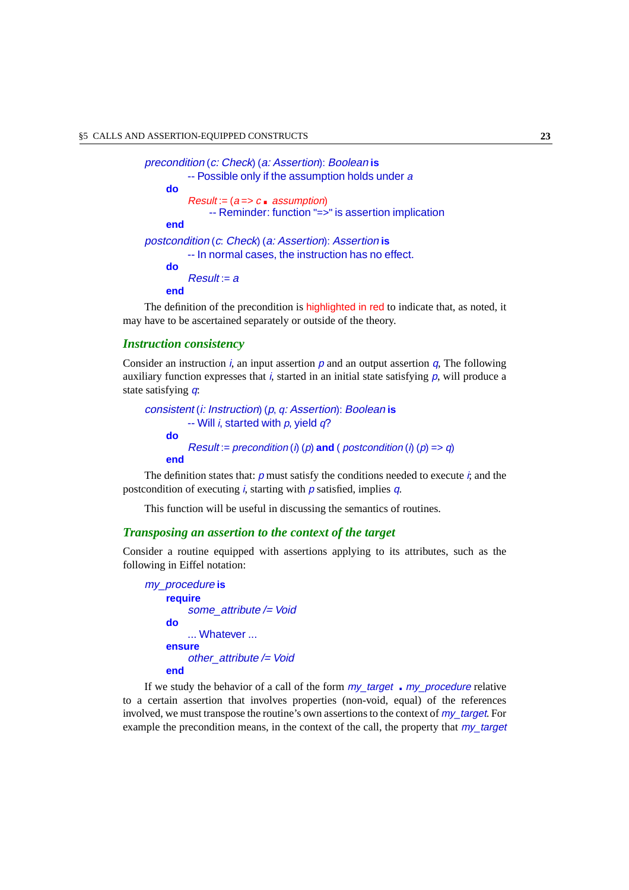```
precondition (c: Check) (a: Assertion): Boolean is
         -- Possible only if the assumption holds under a
    do
         Result := (a == c \cdot asumption)-- Reminder: function "=>" is assertion implication
    end
postcondition (c: Check) (a: Assertion): Assertion is
         -- In normal cases, the instruction has no effect.
    do
         Result = aend
```
The definition of the precondition is highlighted in red to indicate that, as noted, it may have to be ascertained separately or outside of the theory.

#### *Instruction consistency*

Consider an instruction i, an input assertion  $p$  and an output assertion  $q$ , The following auxiliary function expresses that  $i$ , started in an initial state satisfying  $p$ , will produce a state satisfying q:

```
consistent (i: Instruction) (p, q: Assertion): Boolean is
          -- Will i, started with p, yield q?
    do
          Result := precondition (i) (p) and ( postcondition (i) (p) => q)
    end
```
The definition states that:  $p$  must satisfy the conditions needed to execute  $\dot{r}$ , and the postcondition of executing i, starting with  $p$  satisfied, implies  $q$ .

This function will be useful in discussing the semantics of routines.

#### *Transposing an assertion to the context of the target*

Consider a routine equipped with assertions applying to its attributes, such as the following in Eiffel notation:

```
my_procedure is
    require
         some_attribute /= Void
    do
        ... Whatever ...
    ensure
        other attribute / = Voidend
```
If we study the behavior of a call of the form  $my\_target$  . my procedure relative to a certain assertion that involves properties (non-void, equal) of the references involved, we must transpose the routine's own assertions to the context of  $m\gamma$  target. For example the precondition means, in the context of the call, the property that  $my$  target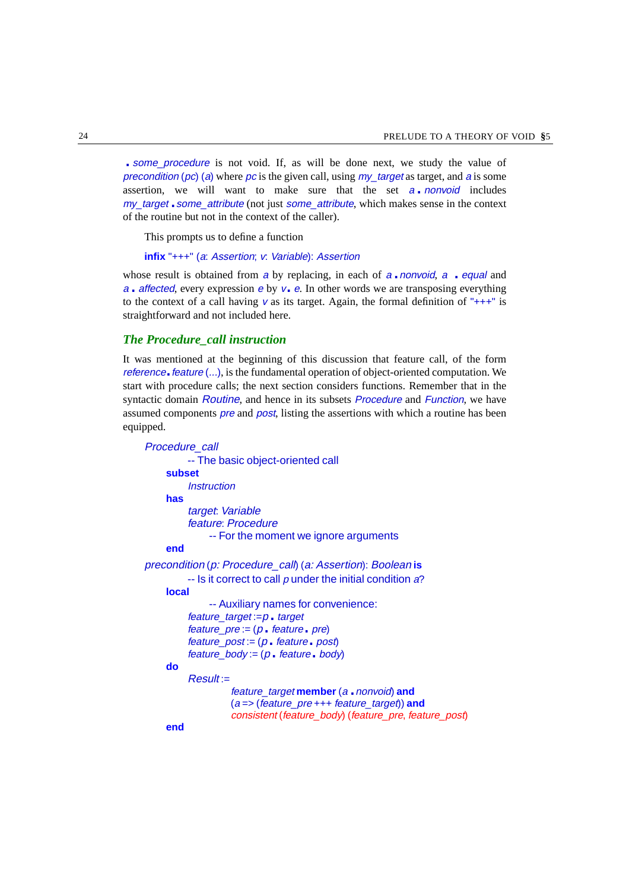. some procedure is not void. If, as will be done next, we study the value of precondition (pc) (a) where pc is the given call, using my target as target, and a is some assertion, we will want to make sure that the set a *nonvoid* includes my target some attribute (not just some attribute, which makes sense in the context of the routine but not in the context of the caller).

This prompts us to define a function

```
infix "+++" (a: Assertion; v: Variable): Assertion
```
whose result is obtained from a by replacing, in each of  $a \cdot n$  *nonvoid*,  $a \cdot \text{equal}$  and a affected, every expression e by  $v_{\bullet}$  e. In other words we are transposing everything to the context of a call having v as its target. Again, the formal definition of " $++$ " is straightforward and not included here.

#### <span id="page-23-0"></span>*The Procedure\_call instruction*

It was mentioned at the beginning of this discussion that feature call, of the form reference. feature  $(...)$ , is the fundamental operation of object-oriented computation. We start with procedure calls; the next section considers functions. Remember that in the syntactic domain Routine, and hence in its subsets *Procedure* and *Function*, we have assumed components *pre* and *post*, listing the assertions with which a routine has been equipped.

```
Procedure_call
         -- The basic object-oriented call
    subset
         Instruction
    has
         target: Variable
          feature: Procedure
              -- For the moment we ignore arguments
    end
precondition (p: Procedure_call) (a: Assertion): Boolean is
         - Is it correct to call p under the initial condition a?
    local
              -- Auxiliary names for convenience:
          feature\_target := p. target
          feature pre := (p \cdot feature \cdot pre)feature\_post := (p \cdot feature \cdot post)feature body := (p \cdot feature \cdot body)do
          Result: =feature_target member (a .nonvoid) and
                   (a => (feature_pre +++ feature_target)) and
                   consistent (feature_body) (feature_pre, feature_post)
    end
```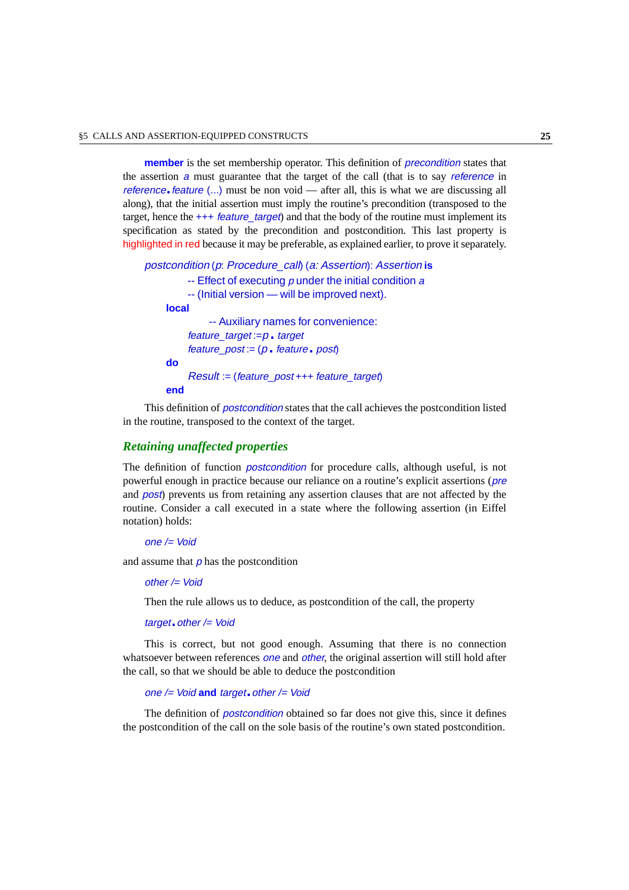**member** is the set membership operator. This definition of *precondition* states that the assertion a must guarantee that the target of the call (that is to say *reference* in reference. feature  $(\ldots)$  must be non void — after all, this is what we are discussing all along), that the initial assertion must imply the routine's precondition (transposed to the target, hence the  $++$  feature target) and that the body of the routine must implement its specification as stated by the precondition and postcondition. This last property is highlighted in red because it may be preferable, as explained earlier, to prove it separately.

```
postcondition (p: Procedure_call) (a: Assertion): Assertion is
         - Effect of executing \rho under the initial condition \alpha-- (Initial version — will be improved next).
    local
              -- Auxiliary names for convenience:
          feature\_target := p arget
          feature post := (p \cdot feature \cdot post)do
          Result := (feature_post +++ feature_target)
    end
```
This definition of postcondition states that the call achieves the postcondition listed in the routine, transposed to the context of the target.

#### <span id="page-24-0"></span>*Retaining unaffected properties*

The definition of function postcondition for procedure calls, although useful, is not powerful enough in practice because our reliance on a routine's explicit assertions (pre and post) prevents us from retaining any assertion clauses that are not affected by the routine. Consider a call executed in a state where the following assertion (in Eiffel notation) holds:

#### one /= Void

and assume that  $\rho$  has the postcondition

#### other /= Void

Then the rule allows us to deduce, as postcondition of the call, the property

#### target. other  $/=$  Void

This is correct, but not good enough. Assuming that there is no connection whatsoever between references one and other, the original assertion will still hold after the call, so that we should be able to deduce the postcondition

#### one /= Void **and** target.other /= Void

The definition of *postcondition* obtained so far does not give this, since it defines the postcondition of the call on the sole basis of the routine's own stated postcondition.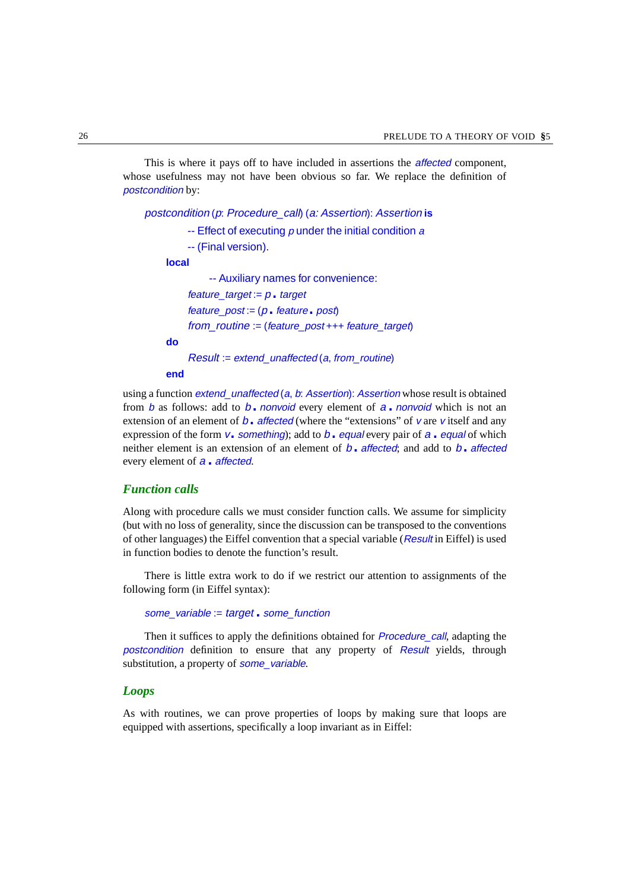This is where it pays off to have included in assertions the *affected* component, whose usefulness may not have been obvious so far. We replace the definition of postcondition by:

```
postcondition (p: Procedure_call) (a: Assertion): Assertion is
          - Effect of executing \rho under the initial condition \alpha-- (Final version).
    local
               -- Auxiliary names for convenience:
          feature target := p_{\bullet} target
          feature\_post := (p \cdot feature \cdot post)from routine := (feature post +++ feature target)
    do
```
 $Result := extend$  unaffected (a, from routine)

**end**

using a function *extend* unaffected (a, b: Assertion): Assertion whose result is obtained from b as follows: add to b. nonvoid every element of  $a$ . nonvoid which is not an extension of an element of  $b_1$  affected (where the "extensions" of v are v itself and any expression of the form  $v_0$  something); add to  $b_0$  equal every pair of  $a_0$  equal of which neither element is an extension of an element of  $b_1$  affected; and add to  $b_1$  affected every element of  $a$ . affected.

#### *Function calls*

Along with procedure calls we must consider function calls. We assume for simplicity (but with no loss of generality, since the discussion can be transposed to the conventions of other languages) the Eiffel convention that a special variable (Result in Eiffel) is used in function bodies to denote the function's result.

There is little extra work to do if we restrict our attention to assignments of the following form (in Eiffel syntax):

```
some_variable := target . some_function
```
Then it suffices to apply the definitions obtained for *Procedure call*, adapting the postcondition definition to ensure that any property of Result yields, through substitution, a property of **some** variable.

#### *Loops*

As with routines, we can prove properties of loops by making sure that loops are equipped with assertions, specifically a loop invariant as in Eiffel: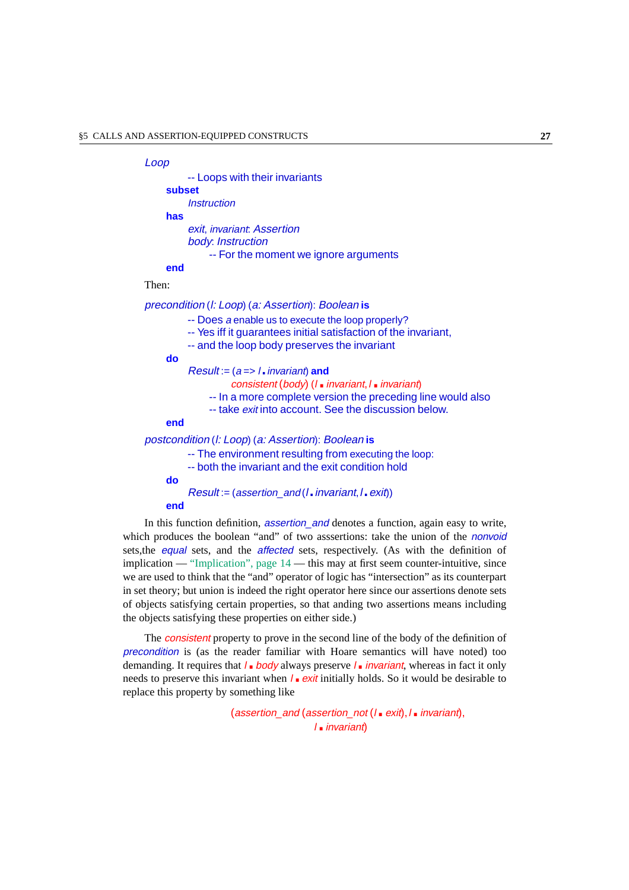#### Loop

|        | -- Loops with their invariants                                                                                                                                       |
|--------|----------------------------------------------------------------------------------------------------------------------------------------------------------------------|
| subset |                                                                                                                                                                      |
|        | <i><u><b>Instruction</b></u></i>                                                                                                                                     |
| has    |                                                                                                                                                                      |
|        | exit, invariant. Assertion                                                                                                                                           |
|        | body: Instruction                                                                                                                                                    |
|        | -- For the moment we ignore arguments                                                                                                                                |
| end    |                                                                                                                                                                      |
| Then:  |                                                                                                                                                                      |
|        | precondition (I: Loop) (a: Assertion): Boolean is                                                                                                                    |
|        | -- Does a enable us to execute the loop properly?<br>-- Yes iff it guarantees initial satisfaction of the invariant,<br>-- and the loop body preserves the invariant |
| do     |                                                                                                                                                                      |
|        | $Result := (a == 1 \cdot invariant)$ and                                                                                                                             |
|        |                                                                                                                                                                      |

- - consistent (body) ( $l$ . invariant,  $l$ . invariant)
- -- In a more complete version the preceding line would also
- -- take exit into account. See the discussion below.

#### **end**

#### postcondition (l: Loop) (a: Assertion): Boolean **is**

- -- The environment resulting from executing the loop:
- -- both the invariant and the exit condition hold

#### **do**

```
Result := (assertion and (l.invariant, l.exit))
```
#### **end**

In this function definition, *assertion* and denotes a function, again easy to write, which produces the boolean "and" of two assertions: take the union of the *nonvoid* sets,the equal sets, and the affected sets, respectively. (As with the definition of implication — ["Implication", page 14](#page-13-0) — this may at first seem counter-intuitive, since we are used to think that the "and" operator of logic has "intersection" as its counterpart in set theory; but union is indeed the right operator here since our assertions denote sets of objects satisfying certain properties, so that anding two assertions means including the objects satisfying these properties on either side.)

The consistent property to prove in the second line of the body of the definition of precondition is (as the reader familiar with Hoare semantics will have noted) too demanding. It requires that  $l$ . body always preserve  $l$ . invariant, whereas in fact it only needs to preserve this invariant when  $l_{\parallel}$  exit initially holds. So it would be desirable to replace this property by something like

someunng nke<br>(assertion\_and (assertion\_not (l <sub>■</sub> exit),*l <sub>■</sub> invariant*), l.invariant)